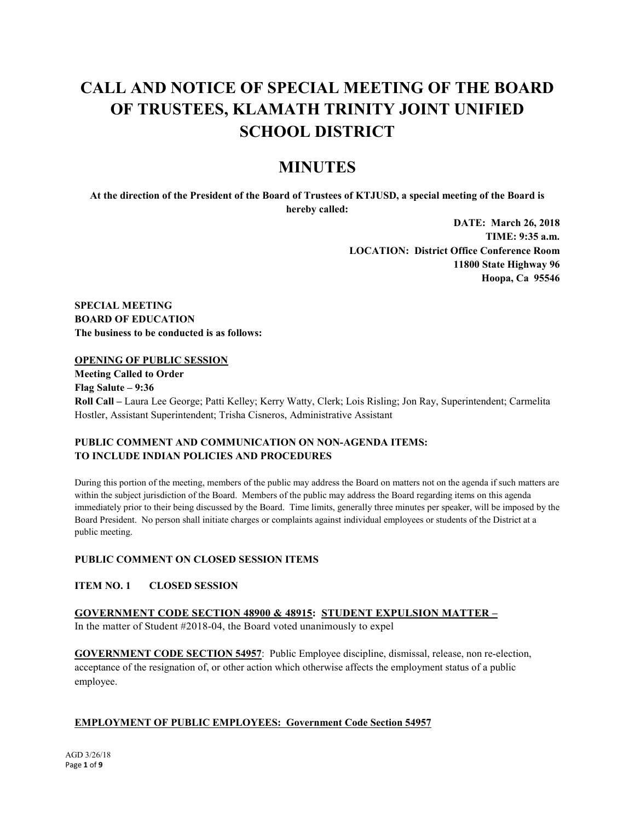# **CALL AND NOTICE OF SPECIAL MEETING OF THE BOARD OF TRUSTEES, KLAMATH TRINITY JOINT UNIFIED SCHOOL DISTRICT**

## **MINUTES**

**At the direction of the President of the Board of Trustees of KTJUSD, a special meeting of the Board is hereby called:**

> **DATE: March 26, 2018 TIME: 9:35 a.m. LOCATION: District Office Conference Room 11800 State Highway 96 Hoopa, Ca 95546**

**SPECIAL MEETING BOARD OF EDUCATION The business to be conducted is as follows:**

## **OPENING OF PUBLIC SESSION**

**Meeting Called to Order Flag Salute – 9:36 Roll Call –** Laura Lee George; Patti Kelley; Kerry Watty, Clerk; Lois Risling; Jon Ray, Superintendent; Carmelita Hostler, Assistant Superintendent; Trisha Cisneros, Administrative Assistant

## **PUBLIC COMMENT AND COMMUNICATION ON NON-AGENDA ITEMS: TO INCLUDE INDIAN POLICIES AND PROCEDURES**

During this portion of the meeting, members of the public may address the Board on matters not on the agenda if such matters are within the subject jurisdiction of the Board. Members of the public may address the Board regarding items on this agenda immediately prior to their being discussed by the Board. Time limits, generally three minutes per speaker, will be imposed by the Board President. No person shall initiate charges or complaints against individual employees or students of the District at a public meeting.

## **PUBLIC COMMENT ON CLOSED SESSION ITEMS**

**ITEM NO. 1 CLOSED SESSION** 

**GOVERNMENT CODE SECTION 48900 & 48915: STUDENT EXPULSION MATTER –** In the matter of Student #2018-04, the Board voted unanimously to expel

**GOVERNMENT CODE SECTION 54957**: Public Employee discipline, dismissal, release, non re-election, acceptance of the resignation of, or other action which otherwise affects the employment status of a public employee.

## **EMPLOYMENT OF PUBLIC EMPLOYEES: Government Code Section 54957**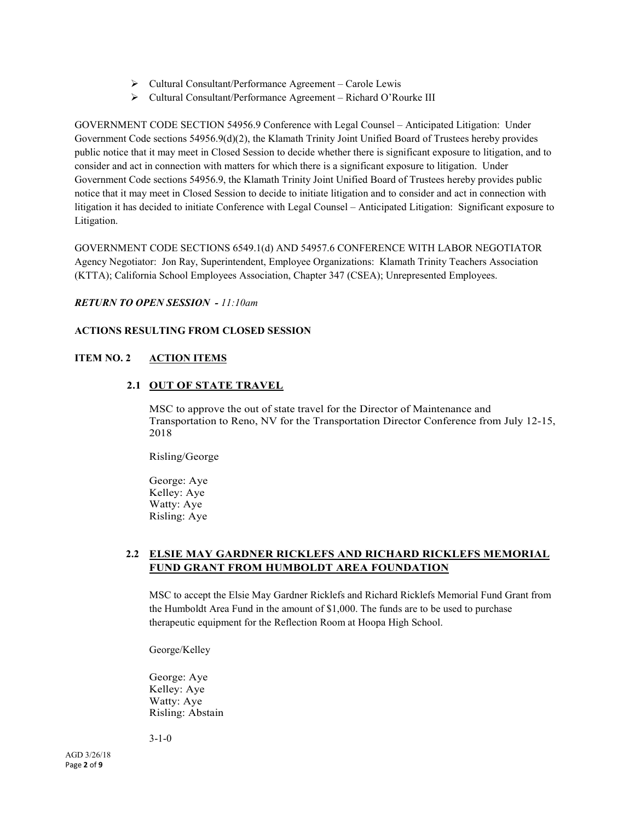- $\triangleright$  Cultural Consultant/Performance Agreement Carole Lewis
- Cultural Consultant/Performance Agreement Richard O'Rourke III

GOVERNMENT CODE SECTION 54956.9 Conference with Legal Counsel – Anticipated Litigation: Under Government Code sections 54956.9(d)(2), the Klamath Trinity Joint Unified Board of Trustees hereby provides public notice that it may meet in Closed Session to decide whether there is significant exposure to litigation, and to consider and act in connection with matters for which there is a significant exposure to litigation. Under Government Code sections 54956.9, the Klamath Trinity Joint Unified Board of Trustees hereby provides public notice that it may meet in Closed Session to decide to initiate litigation and to consider and act in connection with litigation it has decided to initiate Conference with Legal Counsel – Anticipated Litigation: Significant exposure to Litigation.

GOVERNMENT CODE SECTIONS 6549.1(d) AND 54957.6 CONFERENCE WITH LABOR NEGOTIATOR Agency Negotiator: Jon Ray, Superintendent, Employee Organizations: Klamath Trinity Teachers Association (KTTA); California School Employees Association, Chapter 347 (CSEA); Unrepresented Employees.

## *RETURN TO OPEN SESSION - 11:10am*

## **ACTIONS RESULTING FROM CLOSED SESSION**

## **ITEM NO. 2 ACTION ITEMS**

## **2.1 OUT OF STATE TRAVEL**

MSC to approve the out of state travel for the Director of Maintenance and Transportation to Reno, NV for the Transportation Director Conference from July 12-15, 2018

Risling/George

George: Aye Kelley: Aye Watty: Aye Risling: Aye

## **2.2 ELSIE MAY GARDNER RICKLEFS AND RICHARD RICKLEFS MEMORIAL FUND GRANT FROM HUMBOLDT AREA FOUNDATION**

MSC to accept the Elsie May Gardner Ricklefs and Richard Ricklefs Memorial Fund Grant from the Humboldt Area Fund in the amount of \$1,000. The funds are to be used to purchase therapeutic equipment for the Reflection Room at Hoopa High School.

George/Kelley

George: Aye Kelley: Aye Watty: Aye Risling: Abstain

3-1-0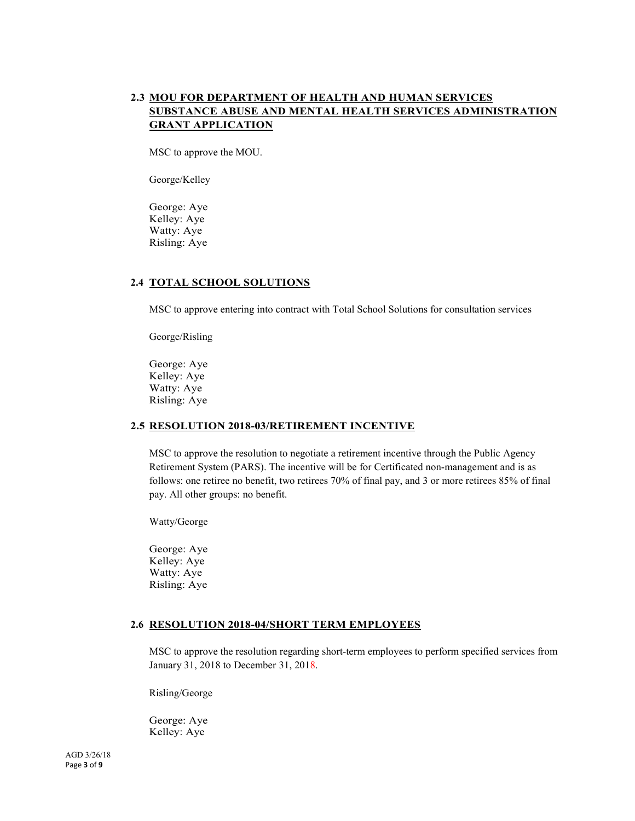## **2.3 MOU FOR DEPARTMENT OF HEALTH AND HUMAN SERVICES SUBSTANCE ABUSE AND MENTAL HEALTH SERVICES ADMINISTRATION GRANT APPLICATION**

MSC to approve the MOU.

George/Kelley

George: Aye Kelley: Aye Watty: Aye Risling: Aye

#### **2.4 TOTAL SCHOOL SOLUTIONS**

MSC to approve entering into contract with Total School Solutions for consultation services

George/Risling

George: Aye Kelley: Aye Watty: Aye Risling: Aye

#### **2.5 RESOLUTION 2018-03/RETIREMENT INCENTIVE**

MSC to approve the resolution to negotiate a retirement incentive through the Public Agency Retirement System (PARS). The incentive will be for Certificated non-management and is as follows: one retiree no benefit, two retirees 70% of final pay, and 3 or more retirees 85% of final pay. All other groups: no benefit.

Watty/George

George: Aye Kelley: Aye Watty: Aye Risling: Aye

#### **2.6 RESOLUTION 2018-04/SHORT TERM EMPLOYEES**

MSC to approve the resolution regarding short-term employees to perform specified services from January 31, 2018 to December 31, 2018.

Risling/George

George: Aye Kelley: Aye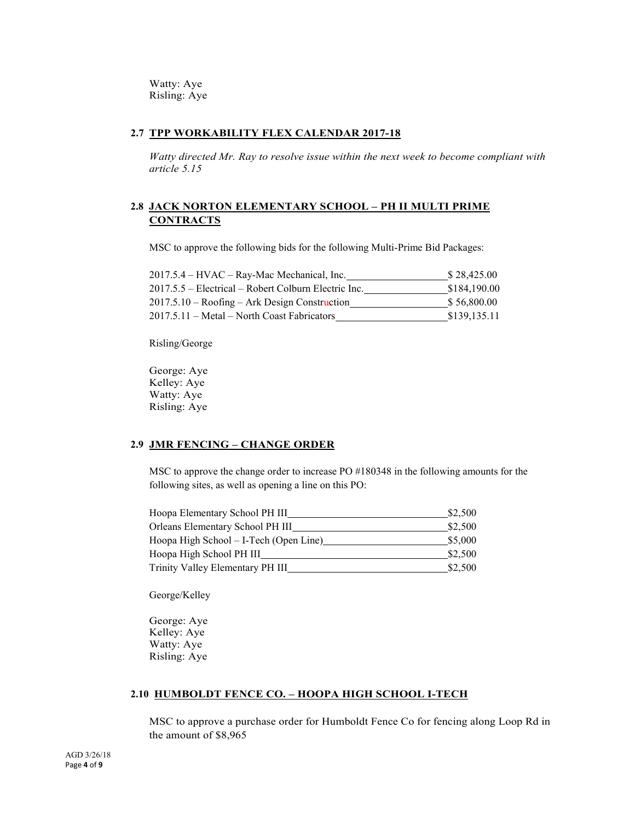Watty: Aye Risling: Aye

#### **2.7 TPP WORKABILITY FLEX CALENDAR 2017-18**

*Watty directed Mr. Ray to resolve issue within the next week to become compliant with article 5.15*

## **2.8 JACK NORTON ELEMENTARY SCHOOL – PH II MULTI PRIME CONTRACTS**

MSC to approve the following bids for the following Multi-Prime Bid Packages:

| 2017.5.4 – HVAC – Ray-Mac Mechanical, Inc.           | \$28,425.00  |
|------------------------------------------------------|--------------|
| 2017.5.5 – Electrical – Robert Colburn Electric Inc. | \$184,190.00 |
| $2017.5.10 -$ Roofing – Ark Design Construction      | \$56,800.00  |
| 2017.5.11 – Metal – North Coast Fabricators          | \$139,135.11 |

Risling/George

George: Aye Kelley: Aye Watty: Aye Risling: Aye

## **2.9 JMR FENCING – CHANGE ORDER**

MSC to approve the change order to increase PO #180348 in the following amounts for the following sites, as well as opening a line on this PO:

| Hoopa Elementary School PH III         | \$2,500 |
|----------------------------------------|---------|
| Orleans Elementary School PH III       | \$2,500 |
| Hoopa High School – I-Tech (Open Line) | \$5,000 |
| Hoopa High School PH III               | \$2,500 |
| Trinity Valley Elementary PH III       | \$2,500 |

George/Kelley

George: Aye Kelley: Aye Watty: Aye Risling: Aye

#### **2.10 HUMBOLDT FENCE CO. – HOOPA HIGH SCHOOL I-TECH**

MSC to approve a purchase order for Humboldt Fence Co for fencing along Loop Rd in the amount of \$8,965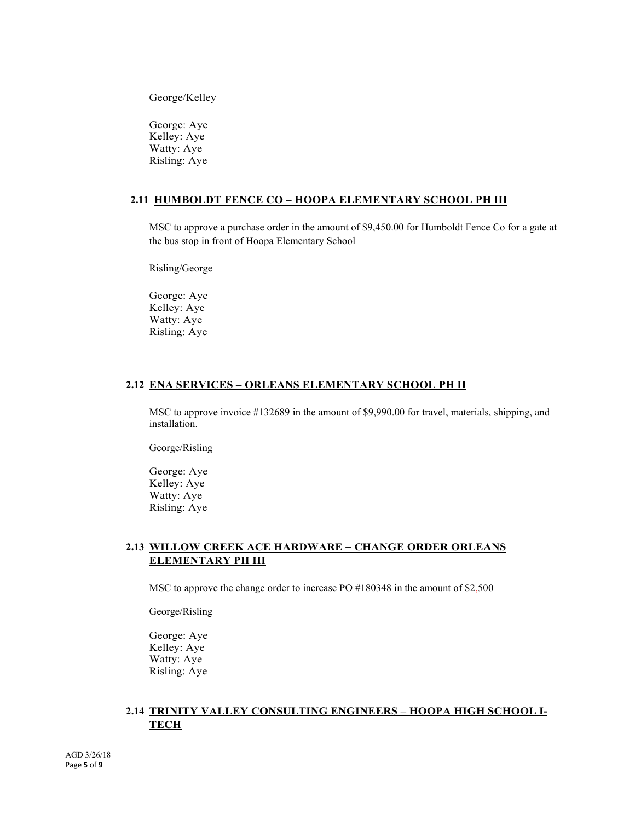George/Kelley

George: Aye Kelley: Aye Watty: Aye Risling: Aye

#### **2.11 HUMBOLDT FENCE CO – HOOPA ELEMENTARY SCHOOL PH III**

MSC to approve a purchase order in the amount of \$9,450.00 for Humboldt Fence Co for a gate at the bus stop in front of Hoopa Elementary School

Risling/George

George: Aye Kelley: Aye Watty: Aye Risling: Aye

#### **2.12 ENA SERVICES – ORLEANS ELEMENTARY SCHOOL PH II**

MSC to approve invoice #132689 in the amount of \$9,990.00 for travel, materials, shipping, and installation.

George/Risling

George: Aye Kelley: Aye Watty: Aye Risling: Aye

## **2.13 WILLOW CREEK ACE HARDWARE – CHANGE ORDER ORLEANS ELEMENTARY PH III**

MSC to approve the change order to increase PO #180348 in the amount of \$2,500

George/Risling

George: Aye Kelley: Aye Watty: Aye Risling: Aye

## **2.14 TRINITY VALLEY CONSULTING ENGINEERS – HOOPA HIGH SCHOOL I-TECH**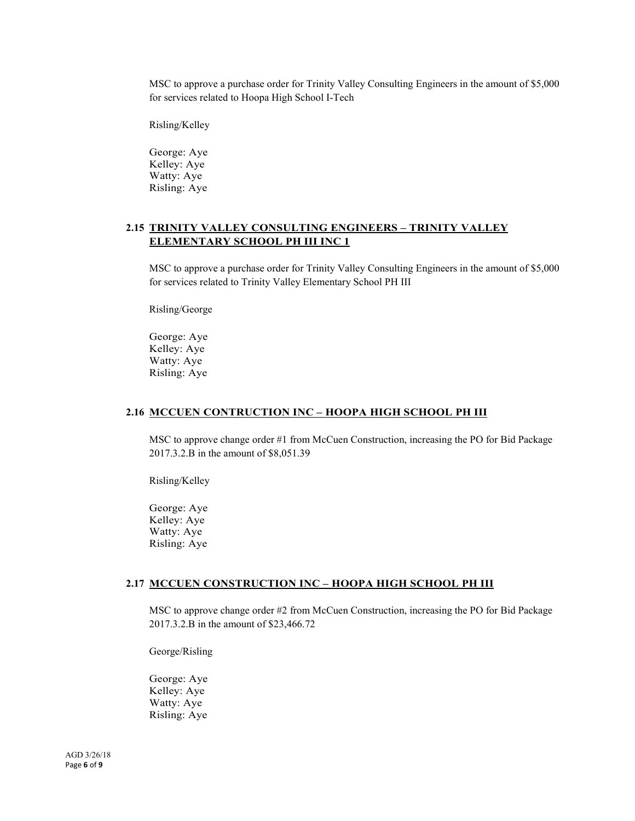MSC to approve a purchase order for Trinity Valley Consulting Engineers in the amount of \$5,000 for services related to Hoopa High School I-Tech

Risling/Kelley

George: Aye Kelley: Aye Watty: Aye Risling: Aye

## **2.15 TRINITY VALLEY CONSULTING ENGINEERS – TRINITY VALLEY ELEMENTARY SCHOOL PH III INC 1**

MSC to approve a purchase order for Trinity Valley Consulting Engineers in the amount of \$5,000 for services related to Trinity Valley Elementary School PH III

Risling/George

George: Aye Kelley: Aye Watty: Aye Risling: Aye

#### **2.16 MCCUEN CONTRUCTION INC – HOOPA HIGH SCHOOL PH III**

MSC to approve change order #1 from McCuen Construction, increasing the PO for Bid Package 2017.3.2.B in the amount of \$8,051.39

Risling/Kelley

George: Aye Kelley: Aye Watty: Aye Risling: Aye

#### **2.17 MCCUEN CONSTRUCTION INC – HOOPA HIGH SCHOOL PH III**

MSC to approve change order #2 from McCuen Construction, increasing the PO for Bid Package 2017.3.2.B in the amount of \$23,466.72

George/Risling

George: Aye Kelley: Aye Watty: Aye Risling: Aye

AGD 3/26/18 Page **6** of **9**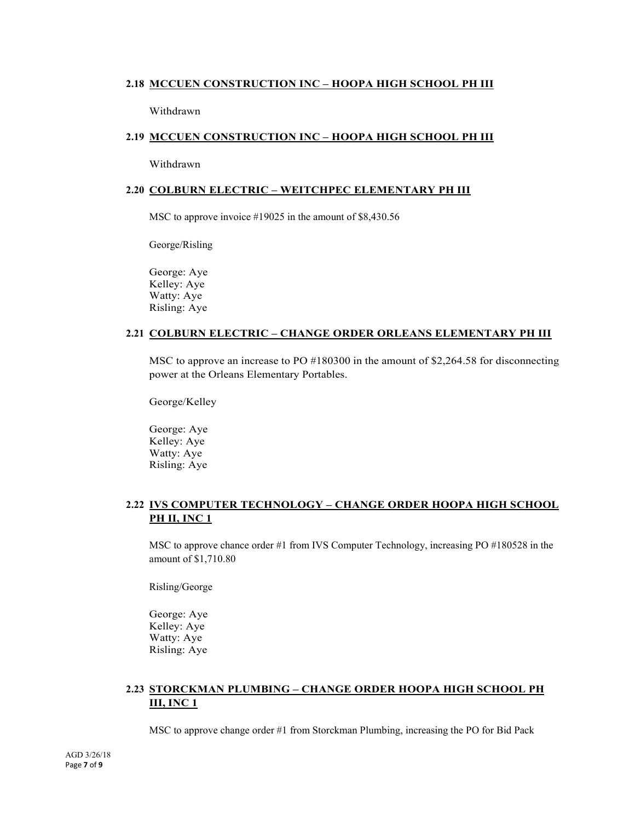## **2.18 MCCUEN CONSTRUCTION INC – HOOPA HIGH SCHOOL PH III**

Withdrawn

## **2.19 MCCUEN CONSTRUCTION INC – HOOPA HIGH SCHOOL PH III**

Withdrawn

#### **2.20 COLBURN ELECTRIC – WEITCHPEC ELEMENTARY PH III**

MSC to approve invoice #19025 in the amount of \$8,430.56

George/Risling

George: Aye Kelley: Aye Watty: Aye Risling: Aye

## **2.21 COLBURN ELECTRIC – CHANGE ORDER ORLEANS ELEMENTARY PH III**

MSC to approve an increase to PO #180300 in the amount of \$2,264.58 for disconnecting power at the Orleans Elementary Portables.

George/Kelley

George: Aye Kelley: Aye Watty: Aye Risling: Aye

## **2.22 IVS COMPUTER TECHNOLOGY – CHANGE ORDER HOOPA HIGH SCHOOL PH II, INC 1**

MSC to approve chance order #1 from IVS Computer Technology, increasing PO #180528 in the amount of \$1,710.80

Risling/George

George: Aye Kelley: Aye Watty: Aye Risling: Aye

## **2.23 STORCKMAN PLUMBING – CHANGE ORDER HOOPA HIGH SCHOOL PH III, INC 1**

MSC to approve change order #1 from Storckman Plumbing, increasing the PO for Bid Pack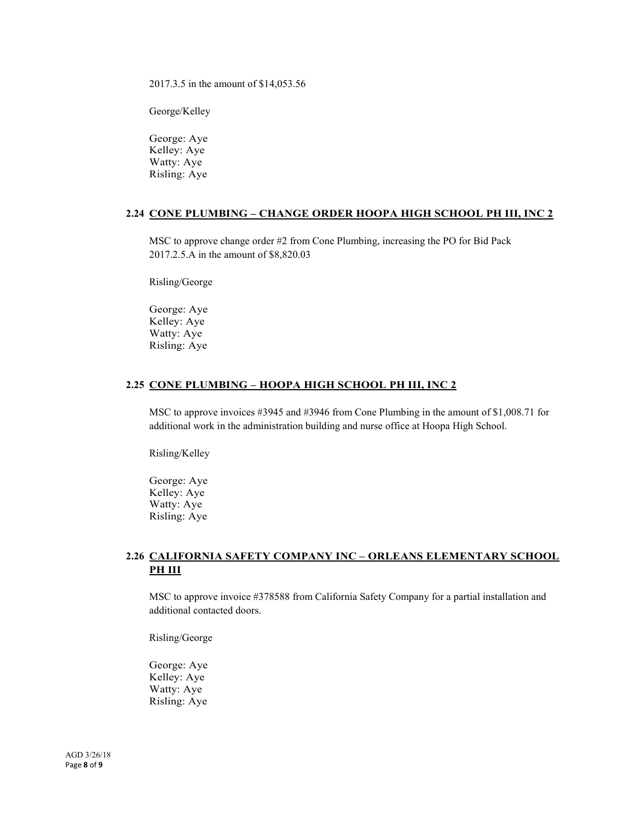2017.3.5 in the amount of \$14,053.56

George/Kelley

George: Aye Kelley: Aye Watty: Aye Risling: Aye

#### **2.24 CONE PLUMBING – CHANGE ORDER HOOPA HIGH SCHOOL PH III, INC 2**

MSC to approve change order #2 from Cone Plumbing, increasing the PO for Bid Pack 2017.2.5.A in the amount of \$8,820.03

Risling/George

George: Aye Kelley: Aye Watty: Aye Risling: Aye

#### **2.25 CONE PLUMBING – HOOPA HIGH SCHOOL PH III, INC 2**

MSC to approve invoices #3945 and #3946 from Cone Plumbing in the amount of \$1,008.71 for additional work in the administration building and nurse office at Hoopa High School.

Risling/Kelley

George: Aye Kelley: Aye Watty: Aye Risling: Aye

## **2.26 CALIFORNIA SAFETY COMPANY INC – ORLEANS ELEMENTARY SCHOOL PH III**

MSC to approve invoice #378588 from California Safety Company for a partial installation and additional contacted doors.

Risling/George

George: Aye Kelley: Aye Watty: Aye Risling: Aye